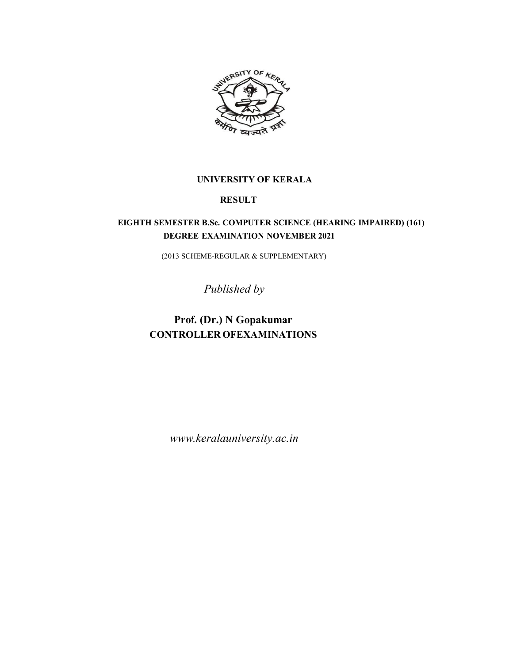

#### **UNIVERSITY OF KERALA**

#### **RESULT**

## **EIGHTH SEMESTER B.Sc. COMPUTER SCIENCE (HEARING IMPAIRED) (161) DEGREE EXAMINATION NOVEMBER 2021**

(2013 SCHEME-REGULAR & SUPPLEMENTARY)

*Published by*

# **Prof. (Dr.) N Gopakumar CONTROLLER OFEXAMINATIONS**

*www.keralauniversity.ac.in*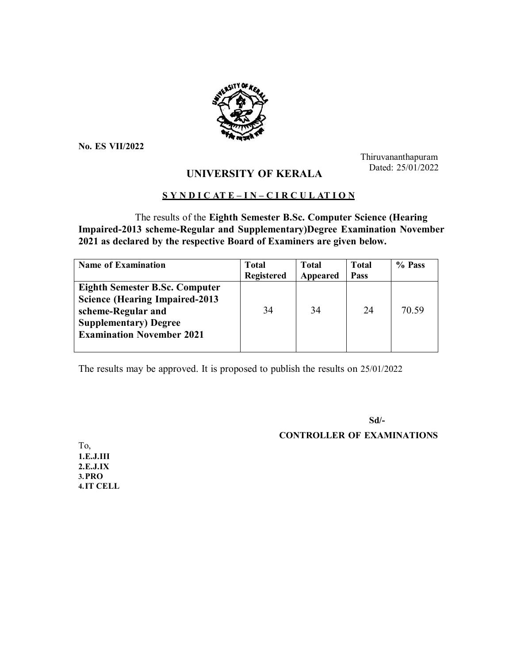

**No. ES VII/2022**

Thiruvananthapuram Dated: 25/01/2022

## **UNIVERSITY OF KERALA**

### **S Y N D I C AT E – I N – C I R C U L AT I O N**

The results of the **Eighth Semester B.Sc. Computer Science (Hearing Impaired-2013 scheme-Regular and Supplementary)Degree Examination November 2021 as declared by the respective Board of Examiners are given below.**

| <b>Name of Examination</b>            | <b>Total</b>      | <b>Total</b> | <b>Total</b> | % Pass |
|---------------------------------------|-------------------|--------------|--------------|--------|
|                                       | <b>Registered</b> | Appeared     | <b>Pass</b>  |        |
| <b>Eighth Semester B.Sc. Computer</b> |                   |              |              |        |
| <b>Science (Hearing Impaired-2013</b> |                   |              |              |        |
| scheme-Regular and                    | 34                | 34           | 24           | 70.59  |
| <b>Supplementary</b> ) Degree         |                   |              |              |        |
| <b>Examination November 2021</b>      |                   |              |              |        |
|                                       |                   |              |              |        |

The results may be approved. It is proposed to publish the results on 25/01/2022

 **Sd/-**

### **CONTROLLER OF EXAMINATIONS**

To, **1.E.J.III 2.E.J.IX 3.PRO 4.IT CELL**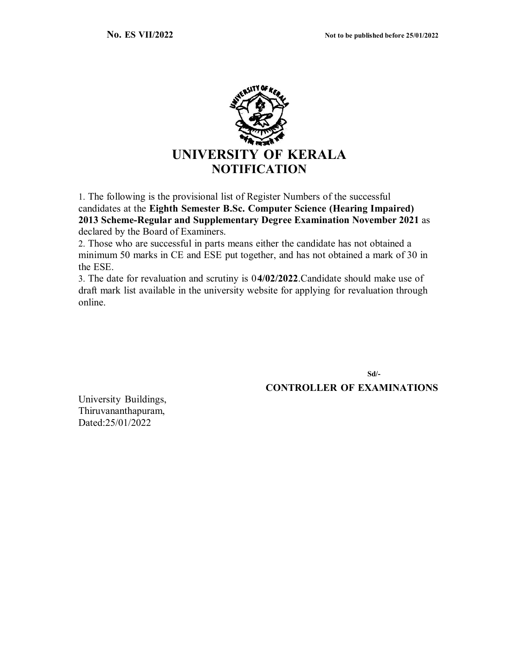

1. The following is the provisional list of Register Numbers of the successful candidates at the **Eighth Semester B.Sc. Computer Science (Hearing Impaired) 2013 Scheme-Regular and Supplementary Degree Examination November 2021** as declared by the Board of Examiners.

2. Those who are successful in parts means either the candidate has not obtained a minimum 50 marks in CE and ESE put together, and has not obtained a mark of 30 in the ESE.

3. The date for revaluation and scrutiny is 0**4/02/2022**.Candidate should make use of draft mark list available in the university website for applying for revaluation through online.

 **Sd/- CONTROLLER OF EXAMINATIONS**

University Buildings, Thiruvananthapuram, Dated:25/01/2022